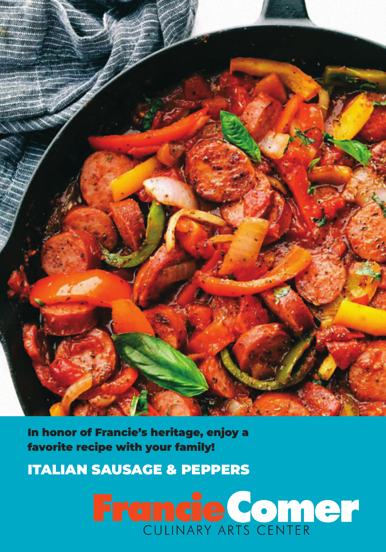

In honor of Francie's heritage, enjoy a favorite recipe with your family!

ITALIAN SAUSAGE & PEPPERS

# **Francie Comer**